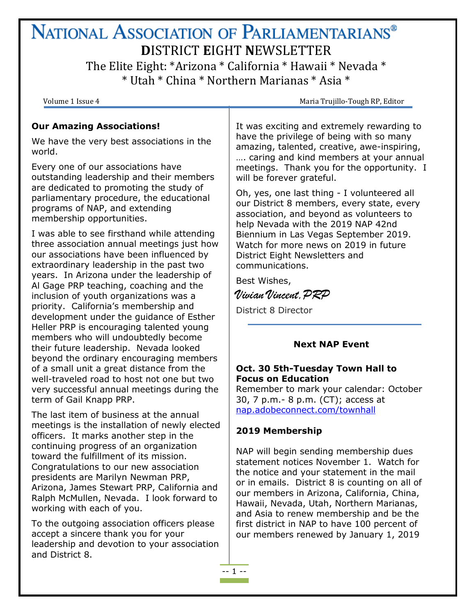## NATIONAL ASSOCIATION OF PARLIAMENTARIANS<sup>®</sup> **D**ISTRICT **E**IGHT **N**EWSLETTER The Elite Eight: \*Arizona \* California \* Hawaii \* Nevada \* \* Utah \* China \* Northern Marianas \* Asia \*

Volume 1 Issue 4 **Maria Trujillo-Tough RP, Editor** Maria Trujillo-Tough RP, Editor

## **Our Amazing Associations!**

We have the very best associations in the world.

Every one of our associations have outstanding leadership and their members are dedicated to promoting the study of parliamentary procedure, the educational programs of NAP, and extending membership opportunities.

I was able to see firsthand while attending three association annual meetings just how our associations have been influenced by extraordinary leadership in the past two years. In Arizona under the leadership of Al Gage PRP teaching, coaching and the inclusion of youth organizations was a priority. California's membership and development under the guidance of Esther Heller PRP is encouraging talented young members who will undoubtedly become their future leadership. Nevada looked beyond the ordinary encouraging members of a small unit a great distance from the well-traveled road to host not one but two very successful annual meetings during the term of Gail Knapp PRP.

The last item of business at the annual meetings is the installation of newly elected officers. It marks another step in the continuing progress of an organization toward the fulfillment of its mission. Congratulations to our new association presidents are Marilyn Newman PRP, Arizona, James Stewart PRP, California and Ralph McMullen, Nevada. I look forward to working with each of you.

To the outgoing association officers please accept a sincere thank you for your leadership and devotion to your association and District 8.

It was exciting and extremely rewarding to have the privilege of being with so many amazing, talented, creative, awe-inspiring, …. caring and kind members at your annual meetings. Thank you for the opportunity. I will be forever grateful.

Oh, yes, one last thing - I volunteered all our District 8 members, every state, every association, and beyond as volunteers to help Nevada with the 2019 NAP 42nd Biennium in Las Vegas September 2019. Watch for more news on 2019 in future District Eight Newsletters and communications.

Best Wishes,

Vivian Vincent,PRP

District 8 Director

## **Next NAP Event**

## **Oct. 30 5th-Tuesday Town Hall to Focus on Education**

Remember to mark your calendar: October 30, 7 p.m.- 8 p.m. (CT); access at [nap.adobeconnect.com/townhall](http://r20.rs6.net/tn.jsp?f=001VMQ03TpOCMAuAMXD30ACTHdhSou14nDDzShSI_0QSSI0t5ydOcgKKzF559g2gvALTTziwDY3huuoAJOBvoC6NSXhVkYlYLPdwwqVe8WXmScDwUYDWd9xP1Z8Jo7tp5KREo2OrrEP0PX0JJt9_RlQ0g-K4AzAsUgyscXpm11HDnPYwvzwMuQhEZ7ur5-hL7Ov&c=oPMAL_2BPnF2-LnIDocwbMfLhuvYJppbWvzDfOQOusJ3wHXuHooryQ==&ch=AfmZpNIqz4y9mb4Y7EK4L4SVUs_aymlntTFFDytT3K59pvYlMuNhbw==#inbox/_blank)

## **2019 Membership**

NAP will begin sending membership dues statement notices November 1. Watch for the notice and your statement in the mail or in emails. District 8 is counting on all of our members in Arizona, California, China, Hawaii, Nevada, Utah, Northern Marianas, and Asia to renew membership and be the first district in NAP to have 100 percent of our members renewed by January 1, 2019

-- 1 --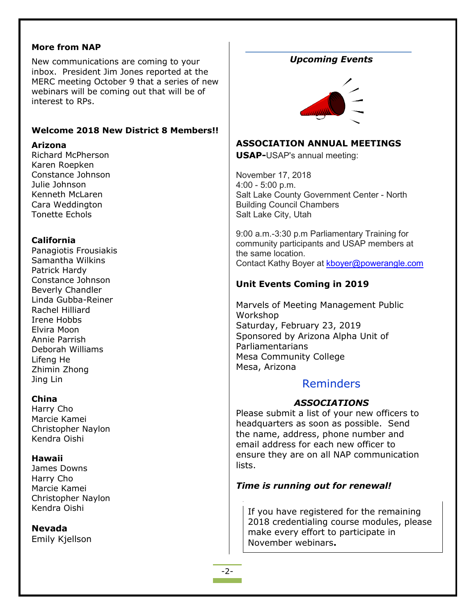#### **More from NAP**

New communications are coming to your inbox. President Jim Jones reported at the MERC meeting October 9 that a series of new webinars will be coming out that will be of interest to RPs.

#### **Welcome 2018 New District 8 Members!!**

#### **Arizona**

Richard McPherson Karen Roepken Constance Johnson Julie Johnson Kenneth McLaren Cara Weddington Tonette Echols

#### **California**

Panagiotis Frousiakis Samantha Wilkins Patrick Hardy Constance Johnson Beverly Chandler Linda Gubba-Reiner Rachel Hilliard Irene Hobbs Elvira Moon Annie Parrish Deborah Williams Lifeng He Zhimin Zhong Jing Lin

#### **China**

Harry Cho Marcie Kamei Christopher Naylon Kendra Oishi

#### **Hawaii**

James Downs Harry Cho Marcie Kamei Christopher Naylon Kendra Oishi

#### **Nevada**

Emily Kjellson

## *Upcoming Events*



#### **ASSOCIATION ANNUAL MEETINGS**

**USAP-**USAP's annual meeting:

November 17, 2018 4:00 - 5:00 p.m. Salt Lake County Government Center - North Building Council Chambers Salt Lake City, Utah

9:00 a.m.-3:30 p.m Parliamentary Training for community participants and USAP members at the same location. Contact Kathy Boyer at [kboyer@powerangle.com](mailto:kboyer@powerangle.com)

## **Unit Events Coming in 2019**

Marvels of Meeting Management Public Workshop Saturday, February 23, 2019 Sponsored by Arizona Alpha Unit of Parliamentarians Mesa Community College Mesa, Arizona

## Reminders

#### *ASSOCIATIONS*

Please submit a list of your new officers to headquarters as soon as possible. Send the name, address, phone number and email address for each new officer to ensure they are on all NAP communication lists.

#### *Time is running out for renewal!*

If you have registered for the remaining 2018 credentialing course modules, please make every effort to participate in November webinars**.**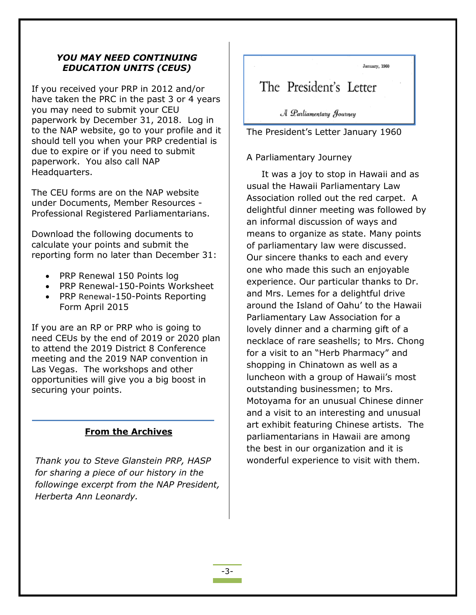#### *YOU MAY NEED CONTINUING EDUCATION UNITS (CEUS)*

If you received your PRP in 2012 and/or have taken the PRC in the past 3 or 4 years you may need to submit your CEU paperwork by December 31, 2018. Log in to the NAP website, go to your profile and it should tell you when your PRP credential is due to expire or if you need to submit paperwork. You also call NAP Headquarters.

The CEU forms are on the NAP website under Documents, Member Resources - Professional Registered Parliamentarians.

Download the following documents to calculate your points and submit the reporting form no later than December 31:

- PRP Renewal 150 Points log
- PRP Renewal-150-Points Worksheet
- PRP Renewal-150-Points Reporting Form April 2015

If you are an RP or PRP who is going to need CEUs by the end of 2019 or 2020 plan to attend the 2019 District 8 Conference meeting and the 2019 NAP convention in Las Vegas. The workshops and other opportunities will give you a big boost in securing your points.

## **From the Archives**

*Thank you to Steve Glanstein PRP, HASP for sharing a piece of our history in the followinge excerpt from the NAP President, Herberta Ann Leonardy.*

January, 1960

# The President's Letter

A Parliamentary Journey

The President's Letter January 1960

## A Parliamentary Journey

 It was a joy to stop in Hawaii and as usual the Hawaii Parliamentary Law Association rolled out the red carpet. A delightful dinner meeting was followed by an informal discussion of ways and means to organize as state. Many points of parliamentary law were discussed. Our sincere thanks to each and every one who made this such an enjoyable experience. Our particular thanks to Dr. and Mrs. Lemes for a delightful drive around the Island of Oahu' to the Hawaii Parliamentary Law Association for a lovely dinner and a charming gift of a necklace of rare seashells; to Mrs. Chong for a visit to an "Herb Pharmacy" and shopping in Chinatown as well as a luncheon with a group of Hawaii's most outstanding businessmen; to Mrs. Motoyama for an unusual Chinese dinner and a visit to an interesting and unusual art exhibit featuring Chinese artists. The parliamentarians in Hawaii are among the best in our organization and it is wonderful experience to visit with them.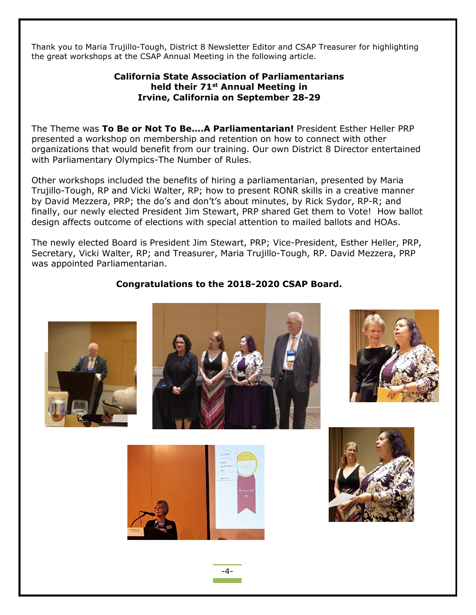Thank you to Maria Trujillo-Tough, District 8 Newsletter Editor and CSAP Treasurer for highlighting the great workshops at the CSAP Annual Meeting in the following article.

### **California State Association of Parliamentarians held their 71st Annual Meeting in Irvine, California on September 28-29**

The Theme was **To Be or Not To Be.…A Parliamentarian!** President Esther Heller PRP presented a workshop on membership and retention on how to connect with other organizations that would benefit from our training. Our own District 8 Director entertained with Parliamentary Olympics-The Number of Rules.

Other workshops included the benefits of hiring a parliamentarian, presented by Maria Trujillo-Tough, RP and Vicki Walter, RP; how to present RONR skills in a creative manner by David Mezzera, PRP; the do's and don't's about minutes, by Rick Sydor, RP-R; and finally, our newly elected President Jim Stewart, PRP shared Get them to Vote! How ballot design affects outcome of elections with special attention to mailed ballots and HOAs.

The newly elected Board is President Jim Stewart, PRP; Vice-President, Esther Heller, PRP, Secretary, Vicki Walter, RP; and Treasurer, Maria Trujillo-Tough, RP. David Mezzera, PRP was appointed Parliamentarian.

## **Congratulations to the 2018-2020 CSAP Board.**









-4-

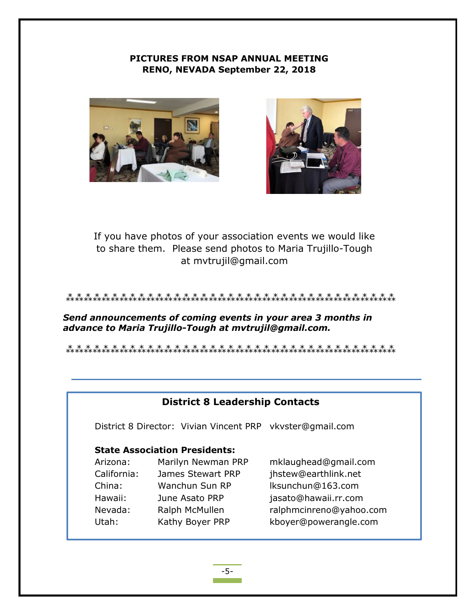### **PICTURES FROM NSAP ANNUAL MEETING RENO, NEVADA September 22, 2018**





If you have photos of your association events we would like to share them. Please send photos to Maria Trujillo-Tough at mvtrujil@gmail.com

#### ⁂⁂⁂⁂⁂⁂⁂⁂⁂⁂⁂⁂⁂⁂⁂⁂⁂⁂⁂⁂⁂⁂⁂⁂⁂⁂⁂⁂⁂⁂⁂⁂⁂⁂⁂⁂⁂

*Send announcements of coming events in your area 3 months in advance to Maria Trujillo-Tough at mvtrujil@gmail.com.*

⁂⁂⁂⁂⁂⁂⁂⁂⁂⁂⁂⁂⁂⁂⁂⁂⁂⁂⁂⁂⁂⁂⁂⁂⁂⁂⁂⁂⁂⁂⁂⁂⁂⁂⁂⁂⁂

## **District 8 Leadership Contacts**

District 8 Director: Vivian Vincent PRP vkvster@gmail.com

## **State Association Presidents:**

| Marilyn Newman PRP | mklaughead@gmail.com    |
|--------------------|-------------------------|
| James Stewart PRP  | jhstew@earthlink.net    |
| Wanchun Sun RP     | Iksunchun@163.com       |
| June Asato PRP     | jasato@hawaii.rr.com    |
| Ralph McMullen     | ralphmcinreno@yahoo.com |
| Kathy Boyer PRP    | kboyer@powerangle.com   |
|                    |                         |